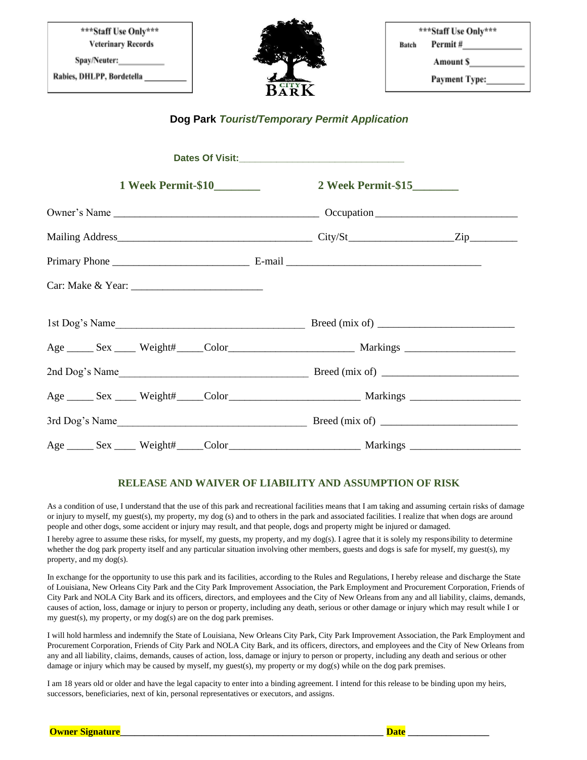| ***Staff Use Only***<br><b>Veterinary Records</b> | <b>DATES</b>                     | ***Staff Use Only***<br>Permit #<br>Batch |
|---------------------------------------------------|----------------------------------|-------------------------------------------|
| Spay/Neuter:                                      | <b>SEPTEMBER</b>                 | Amount S                                  |
| Rabies, DHLPP, Bordetella                         | NOLA.<br>$R_{\rm AF}^{\rm CITY}$ | <b>Payment Type:</b>                      |

## **Dog Park** *Tourist/Temporary Permit Application*

## **RELEASE AND WAIVER OF LIABILITY AND ASSUMPTION OF RISK**

As a condition of use, I understand that the use of this park and recreational facilities means that I am taking and assuming certain risks of damage or injury to myself, my guest(s), my property, my dog (s) and to others in the park and associated facilities. I realize that when dogs are around people and other dogs, some accident or injury may result, and that people, dogs and property might be injured or damaged.

I hereby agree to assume these risks, for myself, my guests, my property, and my dog(s). I agree that it is solely my responsibility to determine whether the dog park property itself and any particular situation involving other members, guests and dogs is safe for myself, my guest(s), my property, and my dog(s).

In exchange for the opportunity to use this park and its facilities, according to the Rules and Regulations, I hereby release and discharge the State of Louisiana, New Orleans City Park and the City Park Improvement Association, the Park Employment and Procurement Corporation, Friends of City Park and NOLA City Bark and its officers, directors, and employees and the City of New Orleans from any and all liability, claims, demands, causes of action, loss, damage or injury to person or property, including any death, serious or other damage or injury which may result while I or my guest(s), my property, or my dog(s) are on the dog park premises.

I will hold harmless and indemnify the State of Louisiana, New Orleans City Park, City Park Improvement Association, the Park Employment and Procurement Corporation, Friends of City Park and NOLA City Bark, and its officers, directors, and employees and the City of New Orleans from any and all liability, claims, demands, causes of action, loss, damage or injury to person or property, including any death and serious or other damage or injury which may be caused by myself, my guest(s), my property or my dog(s) while on the dog park premises.

I am 18 years old or older and have the legal capacity to enter into a binding agreement. I intend for this release to be binding upon my heirs, successors, beneficiaries, next of kin, personal representatives or executors, and assigns.